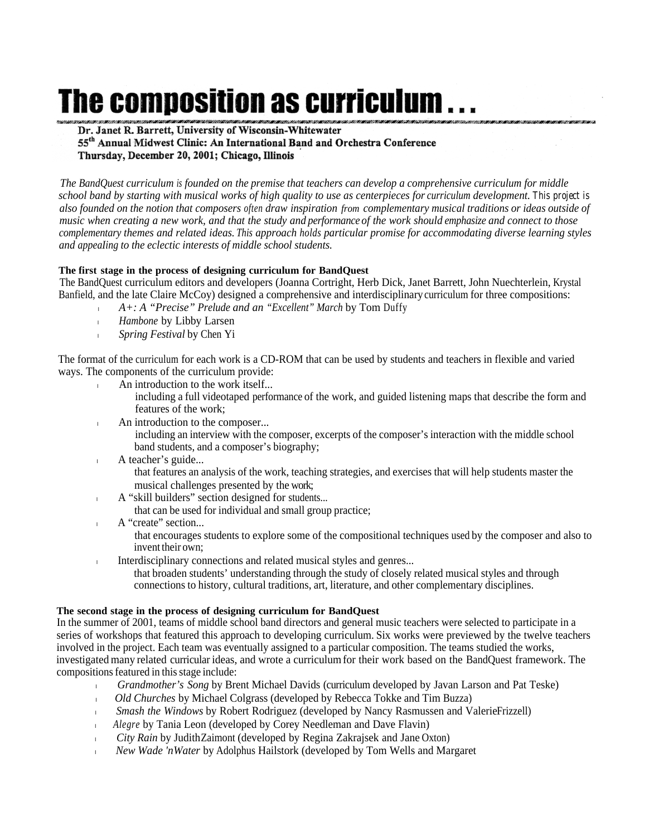# The composition as curriculum

Dr. Janet R. Barrett, University of Wisconsin-Whitewater 55<sup>th</sup> Annual Midwest Clinic: An International Band and Orchestra Conference Thursday, December 20, 2001; Chicago, Illinois

*The BandQuest curriculum is founded on the premise that teachers can develop a comprehensive curriculum for middle school band by starting with musical works of high quality to use as centerpieces for curriculum development. This project is also founded on the notion that composers often draw inspiration from complementary musical traditions or ideas outside of music when creating a new work, and that the study and performance of the work should emphasize and connect to those complementary themes and related ideas. This approach holds particular promise for accommodating diverse learning styles and appeaIing to the eclectic interests of middle school students.*

## **The first stage in the process of designing curriculum for BandQuest**

The BandQuest curriculum editors and developers (Joanna Cortright, Herb Dick, Janet Barrett, John Nuechterlein, Krystal Banfield, and the late Claire McCoy) designed a comprehensive and interdisciplinary curriculum for three compositions:

- <sup>l</sup> *A+: A "Precise" Prelude and an "Excellent" March* by Tom Duffy
- <sup>l</sup> *Hambone* by Libby Larsen
- <sup>l</sup> *Spring Festival* by Chen Yi

The format of the curriculum for each work is a CD-ROM that can be used by students and teachers in flexible and varied ways. The components of the curriculum provide:

- An introduction to the work itself...
	- including a full videotaped performance of the work, and guided listening maps that describe the form and features of the work;
- **lacktriangleright** An introduction to the composer...
	- including an interview with the composer, excerpts of the composer's interaction with the middle school band students, and a composer's biography;
- 1 A teacher's guide...
	- that features an analysis of the work, teaching strategies, and exercises that will help students master the musical challenges presented by the work;
	- A "skill builders" section designed for students...
		- that can be used for individual and small group practice;
- A "create" section...

that encourages students to explore some of the compositional techniques used by the composer and also to invent their own;

Interdisciplinary connections and related musical styles and genres...

that broaden students' understanding through the study of closely related musical styles and through connections to history, cultural traditions, art, literature, and other complementary disciplines.

#### **The second stage in the process of designing curriculum for BandQuest**

In the summer of 2001, teams of middle school band directors and general music teachers were selected to participate in a series of workshops that featured this approach to developing curriculum. Six works were previewed by the twelve teachers involved in the project. Each team was eventually assigned to a particular composition. The teams studied the works, investigated many related curricular ideas, and wrote a curriculum for their work based on the BandQuest framework. The compositions featured in this stage include:

- <sup>l</sup> *Grandmother's Song* by Brent Michael Davids (curriculum developed by Javan Larson and Pat Teske)
- <sup>l</sup> *Old Churches* by Michael Colgrass (developed by Rebecca Tokke and Tim Buzza)
- *Smash the Windows* by Robert Rodriguez (developed by Nancy Rasmussen and Valerie Frizzell)
- <sup>l</sup> *Alegre* by Tania Leon (developed by Corey Needleman and Dave Flavin)
- <sup>l</sup> *City Rain* by Judith Zaimont (developed by Regina Zakrajsek and Jane Oxton)
- *New Wade 'n Water* by Adolphus Hailstork (developed by Tom Wells and Margaret